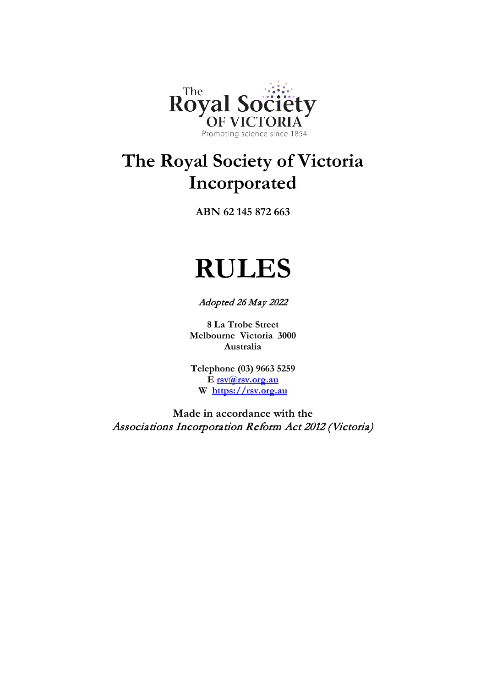

## **The Royal Society of Victoria Incorporated**

**ABN 62 145 872 663**

# **RULES**

#### Adopted 26 May 2022

**8 La Trobe Street Melbourne Victoria 3000 Australia**

**Telephone (03) 9663 5259 E [rsv@rsv.org.au](mailto:rsv@rsv.org.au) W [https://rsv.org.au](http://www.royalsocietyvictoria.org.au/)**

**Made in accordance with the** Associations Incorporation Reform Act 2012 (Victoria)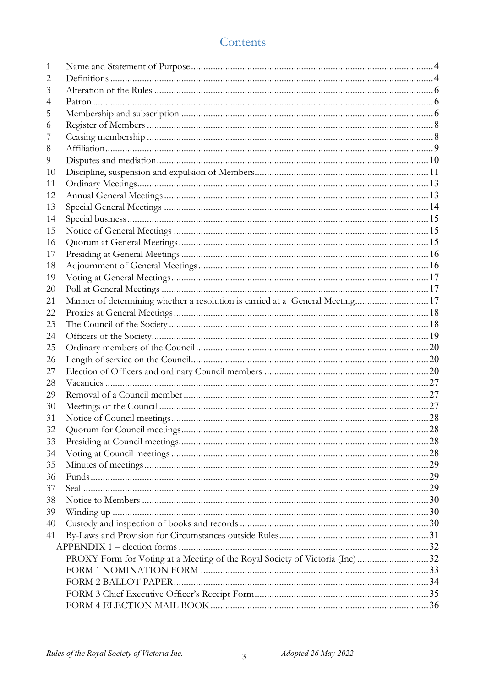### Contents

| 1  |                                                                               |  |
|----|-------------------------------------------------------------------------------|--|
| 2  |                                                                               |  |
| 3  |                                                                               |  |
| 4  |                                                                               |  |
| 5  |                                                                               |  |
| 6  |                                                                               |  |
|    |                                                                               |  |
| 8  |                                                                               |  |
| 9  |                                                                               |  |
| 10 |                                                                               |  |
| 11 |                                                                               |  |
| 12 |                                                                               |  |
| 13 |                                                                               |  |
| 14 |                                                                               |  |
| 15 |                                                                               |  |
| 16 |                                                                               |  |
| 17 |                                                                               |  |
| 18 |                                                                               |  |
| 19 |                                                                               |  |
| 20 |                                                                               |  |
| 21 | Manner of determining whether a resolution is carried at a General Meeting 17 |  |
| 22 |                                                                               |  |
| 23 |                                                                               |  |
| 24 |                                                                               |  |
| 25 |                                                                               |  |
| 26 |                                                                               |  |
| 27 |                                                                               |  |
| 28 |                                                                               |  |
| 29 |                                                                               |  |
| 30 |                                                                               |  |
| 31 |                                                                               |  |
| 32 |                                                                               |  |
| 33 |                                                                               |  |
| 34 |                                                                               |  |
| 35 |                                                                               |  |
| 36 |                                                                               |  |
| 37 |                                                                               |  |
| 38 |                                                                               |  |
| 39 |                                                                               |  |
| 40 |                                                                               |  |
| 41 |                                                                               |  |
|    |                                                                               |  |
|    | PROXY Form for Voting at a Meeting of the Royal Society of Victoria (Inc) 32  |  |
|    |                                                                               |  |
|    |                                                                               |  |
|    |                                                                               |  |
|    |                                                                               |  |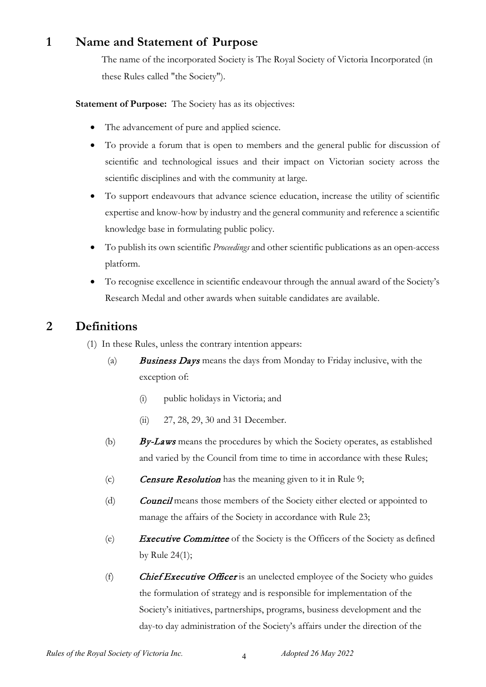### <span id="page-2-0"></span>**1 Name and Statement of Purpose**

The name of the incorporated Society is The Royal Society of Victoria Incorporated (in these Rules called "the Society").

**Statement of Purpose:** The Society has as its objectives:

- The advancement of pure and applied science.
- To provide a forum that is open to members and the general public for discussion of scientific and technological issues and their impact on Victorian society across the scientific disciplines and with the community at large.
- To support endeavours that advance science education, increase the utility of scientific expertise and know-how by industry and the general community and reference a scientific knowledge base in formulating public policy.
- To publish its own scientific *Proceedings* and other scientific publications as an open-access platform.
- To recognise excellence in scientific endeavour through the annual award of the Society's Research Medal and other awards when suitable candidates are available.

### <span id="page-2-1"></span>**2 Definitions**

- (1) In these Rules, unless the contrary intention appears:
	- (a) **Business Days** means the days from Monday to Friday inclusive, with the exception of:
		- (i) public holidays in Victoria; and
		- (ii) 27, 28, 29, 30 and 31 December.
	- (b)  $By-Laws$  means the procedures by which the Society operates, as established and varied by the Council from time to time in accordance with these Rules;
	- (c) **Censure Resolution** has the meaning given to it in Rule 9;
	- (d) Council means those members of the Society either elected or appointed to manage the affairs of the Society in accordance with Rule 23;
	- (e) Executive Committee of the Society is the Officers of the Society as defined by Rule 24(1);
	- (f) Chief Executive Officer is an unelected employee of the Society who guides the formulation of strategy and is responsible for implementation of the Society's initiatives, partnerships, programs, business development and the day-to day administration of the Society's affairs under the direction of the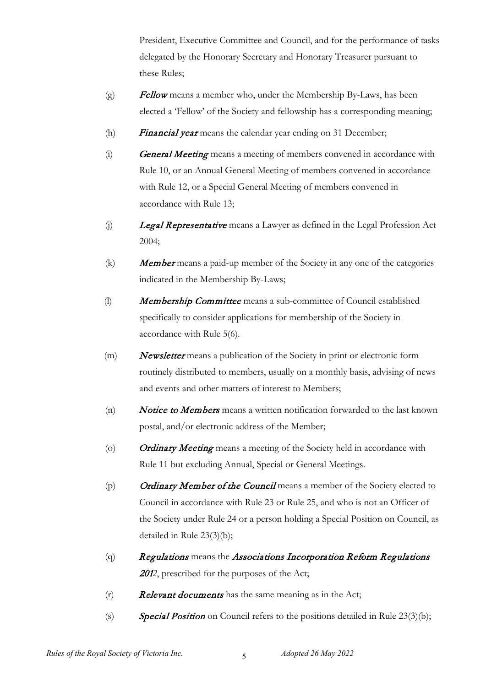President, Executive Committee and Council, and for the performance of tasks delegated by the Honorary Secretary and Honorary Treasurer pursuant to these Rules;

- (g)  $Fellow$  means a member who, under the Membership By-Laws, has been elected a 'Fellow' of the Society and fellowship has a corresponding meaning;
- (h) Financial year means the calendar year ending on 31 December;
- (i) General Meeting means a meeting of members convened in accordance with Rule 10, or an Annual General Meeting of members convened in accordance with Rule 12, or a Special General Meeting of members convened in accordance with Rule 13;
- (j) Legal Representative means a Lawyer as defined in the Legal Profession Act 2004;
- $(k)$  Member means a paid-up member of the Society in any one of the categories indicated in the Membership By-Laws;
- (l) Membership Committee means a sub-committee of Council established specifically to consider applications for membership of the Society in accordance with Rule 5(6).
- (m) Newsletter means a publication of the Society in print or electronic form routinely distributed to members, usually on a monthly basis, advising of news and events and other matters of interest to Members;
- (n)  $Notice to Members$  means a written notification forwarded to the last known postal, and/or electronic address of the Member;
- (o) Ordinary Meeting means a meeting of the Society held in accordance with Rule 11 but excluding Annual, Special or General Meetings.
- (p) Ordinary Member of the Council means a member of the Society elected to Council in accordance with Rule 23 or Rule 25, and who is not an Officer of the Society under Rule 24 or a person holding a Special Position on Council, as detailed in Rule 23(3)(b);
- (q) Regulations means the Associations Incorporation Reform Regulations <sup>201</sup>*2*, prescribed for the purposes of the Act;
- $r(r)$  Relevant documents has the same meaning as in the Act;
- (s) Special Position on Council refers to the positions detailed in Rule  $23(3)(b)$ ;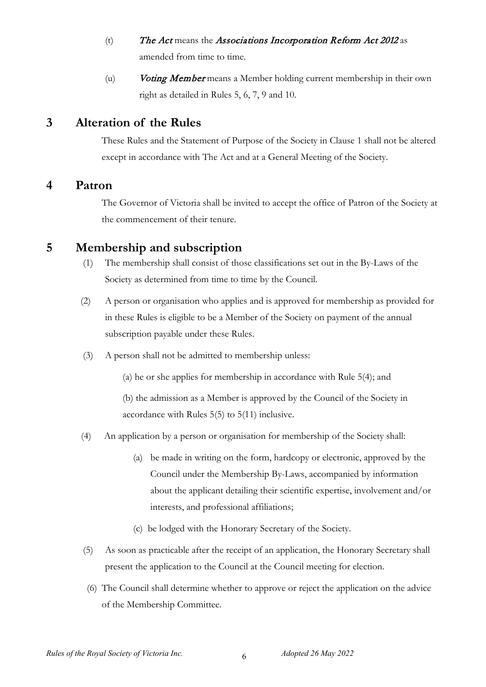- (t) The Act means the Associations Incorporation Reform Act 2012 as amended from time to time.
- (u) Voting Member means a Member holding current membership in their own right as detailed in Rules 5, 6, 7, 9 and 10.

### <span id="page-4-0"></span>**3 Alteration of the Rules**

These Rules and the Statement of Purpose of the Society in Clause 1 shall not be altered except in accordance with The Act and at a General Meeting of the Society.

### <span id="page-4-1"></span>**4 Patron**

The Governor of Victoria shall be invited to accept the office of Patron of the Society at the commencement of their tenure.

### <span id="page-4-2"></span>**5 Membership and subscription**

- (1) The membership shall consist of those classifications set out in the By-Laws of the Society as determined from time to time by the Council.
- (2) A person or organisation who applies and is approved for membership as provided for in these Rules is eligible to be a Member of the Society on payment of the annual subscription payable under these Rules.
- (3) A person shall not be admitted to membership unless:

(a) he or she applies for membership in accordance with Rule 5(4); and

(b) the admission as a Member is approved by the Council of the Society in accordance with Rules 5(5) to 5(11) inclusive.

- (4) An application by a person or organisation for membership of the Society shall:
	- (a) be made in writing on the form, hardcopy or electronic, approved by the Council under the Membership By-Laws, accompanied by information about the applicant detailing their scientific expertise, involvement and/or interests, and professional affiliations;
	- (c) be lodged with the Honorary Secretary of the Society.
- (5) As soon as practicable after the receipt of an application, the Honorary Secretary shall present the application to the Council at the Council meeting for election.
- (6) The Council shall determine whether to approve or reject the application on the advice of the Membership Committee.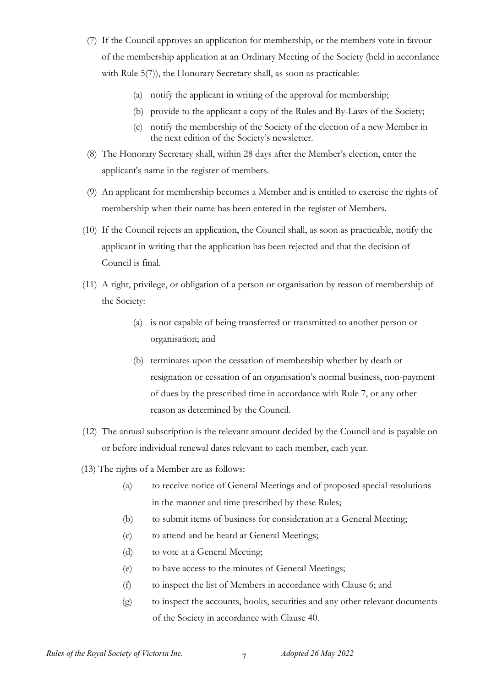- (7) If the Council approves an application for membership, or the members vote in favour of the membership application at an Ordinary Meeting of the Society (held in accordance with Rule 5(7)), the Honorary Secretary shall, as soon as practicable:
	- (a) notify the applicant in writing of the approval for membership;
	- (b) provide to the applicant a copy of the Rules and By-Laws of the Society;
	- (c) notify the membership of the Society of the election of a new Member in the next edition of the Society's newsletter.
- (8) The Honorary Secretary shall, within 28 days after the Member's election, enter the applicant's name in the register of members.
- (9) An applicant for membership becomes a Member and is entitled to exercise the rights of membership when their name has been entered in the register of Members.
- (10) If the Council rejects an application, the Council shall, as soon as practicable, notify the applicant in writing that the application has been rejected and that the decision of Council is final.
- (11) A right, privilege, or obligation of a person or organisation by reason of membership of the Society:
	- (a) is not capable of being transferred or transmitted to another person or organisation; and
	- (b) terminates upon the cessation of membership whether by death or resignation or cessation of an organisation's normal business, non-payment of dues by the prescribed time in accordance with Rule 7, or any other reason as determined by the Council.
- (12) The annual subscription is the relevant amount decided by the Council and is payable on or before individual renewal dates relevant to each member, each year.
- (13) The rights of a Member are as follows:
	- (a) to receive notice of General Meetings and of proposed special resolutions in the manner and time prescribed by these Rules;
	- (b) to submit items of business for consideration at a General Meeting;
	- (c) to attend and be heard at General Meetings;
	- (d) to vote at a General Meeting;
	- (e) to have access to the minutes of General Meetings;
	- (f) to inspect the list of Members in accordance with Clause 6; and
	- (g) to inspect the accounts, books, securities and any other relevant documents of the Society in accordance with Clause 40.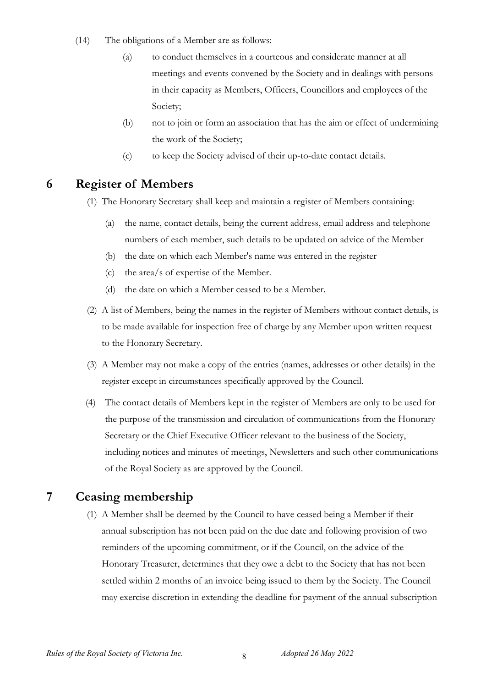- (14) The obligations of a Member are as follows:
	- (a) to conduct themselves in a courteous and considerate manner at all meetings and events convened by the Society and in dealings with persons in their capacity as Members, Officers, Councillors and employees of the Society;
	- (b) not to join or form an association that has the aim or effect of undermining the work of the Society;
	- (c) to keep the Society advised of their up-to-date contact details.

### <span id="page-6-0"></span>**6 Register of Members**

- (1) The Honorary Secretary shall keep and maintain a register of Members containing:
	- (a) the name, contact details, being the current address, email address and telephone numbers of each member, such details to be updated on advice of the Member
	- (b) the date on which each Member's name was entered in the register
	- (c) the area/s of expertise of the Member.
	- (d) the date on which a Member ceased to be a Member.
- (2) A list of Members, being the names in the register of Members without contact details, is to be made available for inspection free of charge by any Member upon written request to the Honorary Secretary.
- (3) A Member may not make a copy of the entries (names, addresses or other details) in the register except in circumstances specifically approved by the Council.
- (4) The contact details of Members kept in the register of Members are only to be used for the purpose of the transmission and circulation of communications from the Honorary Secretary or the Chief Executive Officer relevant to the business of the Society, including notices and minutes of meetings, Newsletters and such other communications of the Royal Society as are approved by the Council.

### <span id="page-6-1"></span>**7 Ceasing membership**

(1) A Member shall be deemed by the Council to have ceased being a Member if their annual subscription has not been paid on the due date and following provision of two reminders of the upcoming commitment, or if the Council, on the advice of the Honorary Treasurer, determines that they owe a debt to the Society that has not been settled within 2 months of an invoice being issued to them by the Society. The Council may exercise discretion in extending the deadline for payment of the annual subscription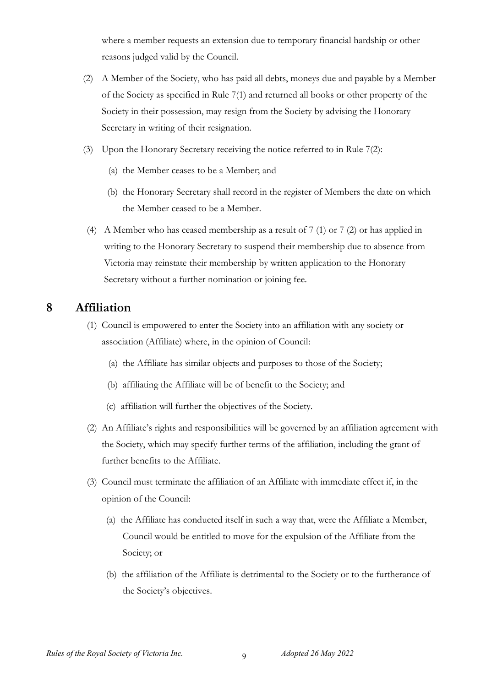where a member requests an extension due to temporary financial hardship or other reasons judged valid by the Council.

- (2) A Member of the Society, who has paid all debts, moneys due and payable by a Member of the Society as specified in Rule 7(1) and returned all books or other property of the Society in their possession, may resign from the Society by advising the Honorary Secretary in writing of their resignation.
- (3) Upon the Honorary Secretary receiving the notice referred to in Rule 7(2):
	- (a) the Member ceases to be a Member; and
	- (b) the Honorary Secretary shall record in the register of Members the date on which the Member ceased to be a Member.
- (4) A Member who has ceased membership as a result of 7 (1) or 7 (2) or has applied in writing to the Honorary Secretary to suspend their membership due to absence from Victoria may reinstate their membership by written application to the Honorary Secretary without a further nomination or joining fee.

### <span id="page-7-0"></span>**8 Affiliation**

- (1) Council is empowered to enter the Society into an affiliation with any society or association (Affiliate) where, in the opinion of Council:
	- (a) the Affiliate has similar objects and purposes to those of the Society;
	- (b) affiliating the Affiliate will be of benefit to the Society; and
	- (c) affiliation will further the objectives of the Society.
- (2) An Affiliate's rights and responsibilities will be governed by an affiliation agreement with the Society, which may specify further terms of the affiliation, including the grant of further benefits to the Affiliate.
- (3) Council must terminate the affiliation of an Affiliate with immediate effect if, in the opinion of the Council:
	- (a) the Affiliate has conducted itself in such a way that, were the Affiliate a Member, Council would be entitled to move for the expulsion of the Affiliate from the Society; or
	- (b) the affiliation of the Affiliate is detrimental to the Society or to the furtherance of the Society's objectives.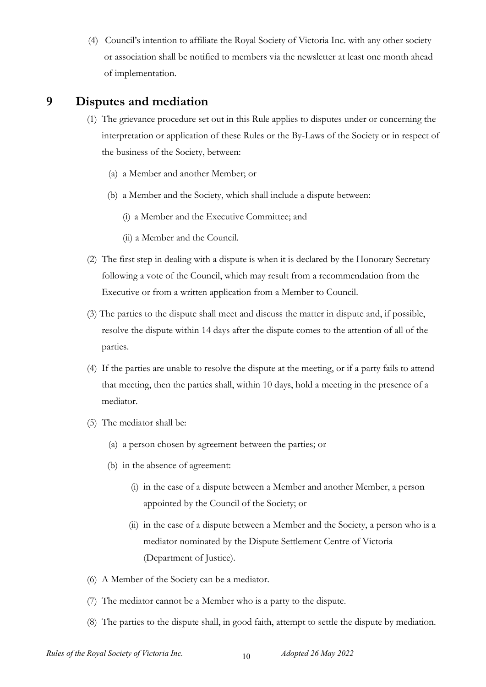(4) Council's intention to affiliate the Royal Society of Victoria Inc. with any other society or association shall be notified to members via the newsletter at least one month ahead of implementation.

### <span id="page-8-0"></span>**9 Disputes and mediation**

- (1) The grievance procedure set out in this Rule applies to disputes under or concerning the interpretation or application of these Rules or the By-Laws of the Society or in respect of the business of the Society, between:
	- (a) a Member and another Member; or
	- (b) a Member and the Society, which shall include a dispute between:
		- (i) a Member and the Executive Committee; and
		- (ii) a Member and the Council.
- (2) The first step in dealing with a dispute is when it is declared by the Honorary Secretary following a vote of the Council, which may result from a recommendation from the Executive or from a written application from a Member to Council.
- (3) The parties to the dispute shall meet and discuss the matter in dispute and, if possible, resolve the dispute within 14 days after the dispute comes to the attention of all of the parties.
- (4) If the parties are unable to resolve the dispute at the meeting, or if a party fails to attend that meeting, then the parties shall, within 10 days, hold a meeting in the presence of a mediator.
- (5) The mediator shall be:
	- (a) a person chosen by agreement between the parties; or
	- (b) in the absence of agreement:
		- (i) in the case of a dispute between a Member and another Member, a person appointed by the Council of the Society; or
		- (ii) in the case of a dispute between a Member and the Society, a person who is a mediator nominated by the Dispute Settlement Centre of Victoria (Department of Justice).
- (6) A Member of the Society can be a mediator.
- (7) The mediator cannot be a Member who is a party to the dispute.
- (8) The parties to the dispute shall, in good faith, attempt to settle the dispute by mediation.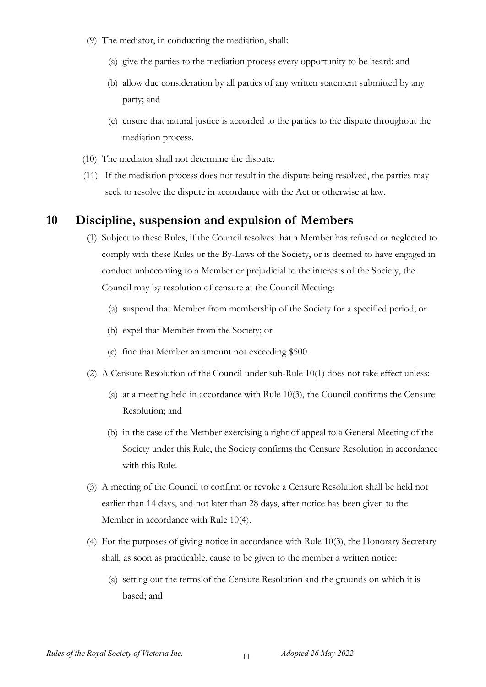- (9) The mediator, in conducting the mediation, shall:
	- (a) give the parties to the mediation process every opportunity to be heard; and
	- (b) allow due consideration by all parties of any written statement submitted by any party; and
	- (c) ensure that natural justice is accorded to the parties to the dispute throughout the mediation process.
- (10) The mediator shall not determine the dispute.
- (11) If the mediation process does not result in the dispute being resolved, the parties may seek to resolve the dispute in accordance with the Act or otherwise at law.

#### <span id="page-9-0"></span>**10 Discipline, suspension and expulsion of Members**

- (1) Subject to these Rules, if the Council resolves that a Member has refused or neglected to comply with these Rules or the By-Laws of the Society, or is deemed to have engaged in conduct unbecoming to a Member or prejudicial to the interests of the Society, the Council may by resolution of censure at the Council Meeting:
	- (a) suspend that Member from membership of the Society for a specified period; or
	- (b) expel that Member from the Society; or
	- (c) fine that Member an amount not exceeding \$500.
- (2) A Censure Resolution of the Council under sub-Rule 10(1) does not take effect unless:
	- (a) at a meeting held in accordance with Rule 10(3), the Council confirms the Censure Resolution; and
	- (b) in the case of the Member exercising a right of appeal to a General Meeting of the Society under this Rule, the Society confirms the Censure Resolution in accordance with this Rule.
- (3) A meeting of the Council to confirm or revoke a Censure Resolution shall be held not earlier than 14 days, and not later than 28 days, after notice has been given to the Member in accordance with Rule 10(4).
- (4) For the purposes of giving notice in accordance with Rule 10(3), the Honorary Secretary shall, as soon as practicable, cause to be given to the member a written notice:
	- (a) setting out the terms of the Censure Resolution and the grounds on which it is based; and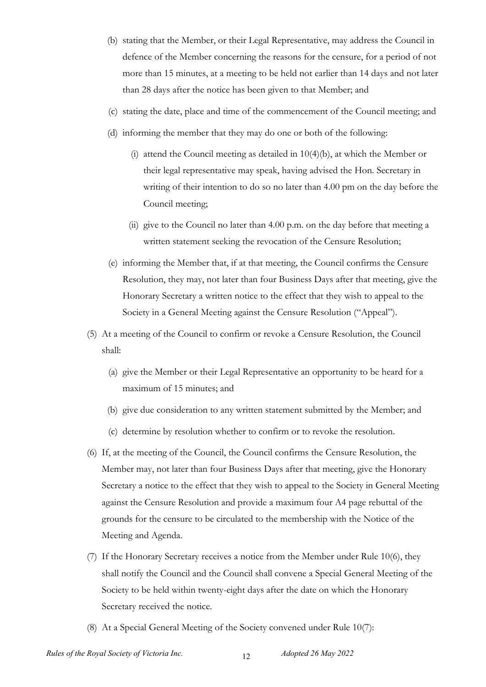- (b) stating that the Member, or their Legal Representative, may address the Council in defence of the Member concerning the reasons for the censure, for a period of not more than 15 minutes, at a meeting to be held not earlier than 14 days and not later than 28 days after the notice has been given to that Member; and
- (c) stating the date, place and time of the commencement of the Council meeting; and
- (d) informing the member that they may do one or both of the following:
	- (i) attend the Council meeting as detailed in 10(4)(b), at which the Member or their legal representative may speak, having advised the Hon. Secretary in writing of their intention to do so no later than 4.00 pm on the day before the Council meeting;
	- (ii) give to the Council no later than 4.00 p.m. on the day before that meeting a written statement seeking the revocation of the Censure Resolution;
- (e) informing the Member that, if at that meeting, the Council confirms the Censure Resolution, they may, not later than four Business Days after that meeting, give the Honorary Secretary a written notice to the effect that they wish to appeal to the Society in a General Meeting against the Censure Resolution ("Appeal").
- (5) At a meeting of the Council to confirm or revoke a Censure Resolution, the Council shall:
	- (a) give the Member or their Legal Representative an opportunity to be heard for a maximum of 15 minutes; and
	- (b) give due consideration to any written statement submitted by the Member; and
	- (c) determine by resolution whether to confirm or to revoke the resolution.
- (6) If, at the meeting of the Council, the Council confirms the Censure Resolution, the Member may, not later than four Business Days after that meeting, give the Honorary Secretary a notice to the effect that they wish to appeal to the Society in General Meeting against the Censure Resolution and provide a maximum four A4 page rebuttal of the grounds for the censure to be circulated to the membership with the Notice of the Meeting and Agenda.
- (7) If the Honorary Secretary receives a notice from the Member under Rule 10(6), they shall notify the Council and the Council shall convene a Special General Meeting of the Society to be held within twenty-eight days after the date on which the Honorary Secretary received the notice.
- (8) At a Special General Meeting of the Society convened under Rule 10(7):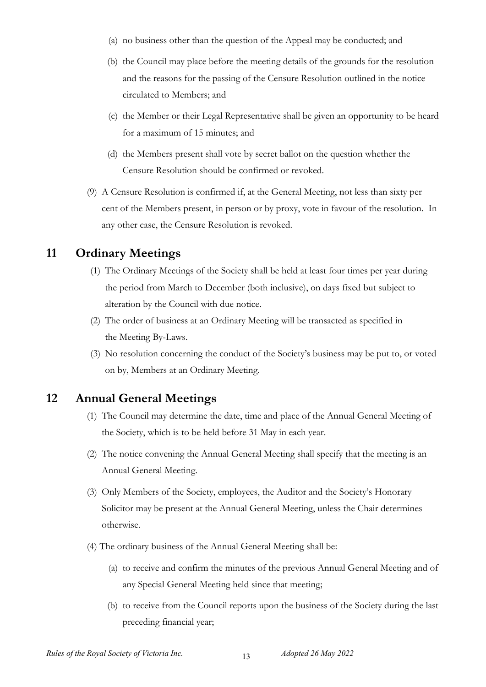- (a) no business other than the question of the Appeal may be conducted; and
- (b) the Council may place before the meeting details of the grounds for the resolution and the reasons for the passing of the Censure Resolution outlined in the notice circulated to Members; and
- (c) the Member or their Legal Representative shall be given an opportunity to be heard for a maximum of 15 minutes; and
- (d) the Members present shall vote by secret ballot on the question whether the Censure Resolution should be confirmed or revoked.
- (9) A Censure Resolution is confirmed if, at the General Meeting, not less than sixty per cent of the Members present, in person or by proxy, vote in favour of the resolution. In any other case, the Censure Resolution is revoked.

### <span id="page-11-0"></span>**11 Ordinary Meetings**

- (1) The Ordinary Meetings of the Society shall be held at least four times per year during the period from March to December (both inclusive), on days fixed but subject to alteration by the Council with due notice.
- (2) The order of business at an Ordinary Meeting will be transacted as specified in the Meeting By-Laws.
- (3) No resolution concerning the conduct of the Society's business may be put to, or voted on by, Members at an Ordinary Meeting.

### <span id="page-11-1"></span>**12 Annual General Meetings**

- (1) The Council may determine the date, time and place of the Annual General Meeting of the Society, which is to be held before 31 May in each year.
- (2) The notice convening the Annual General Meeting shall specify that the meeting is an Annual General Meeting.
- (3) Only Members of the Society, employees, the Auditor and the Society's Honorary Solicitor may be present at the Annual General Meeting, unless the Chair determines otherwise.
- (4) The ordinary business of the Annual General Meeting shall be:
	- (a) to receive and confirm the minutes of the previous Annual General Meeting and of any Special General Meeting held since that meeting;
	- (b) to receive from the Council reports upon the business of the Society during the last preceding financial year;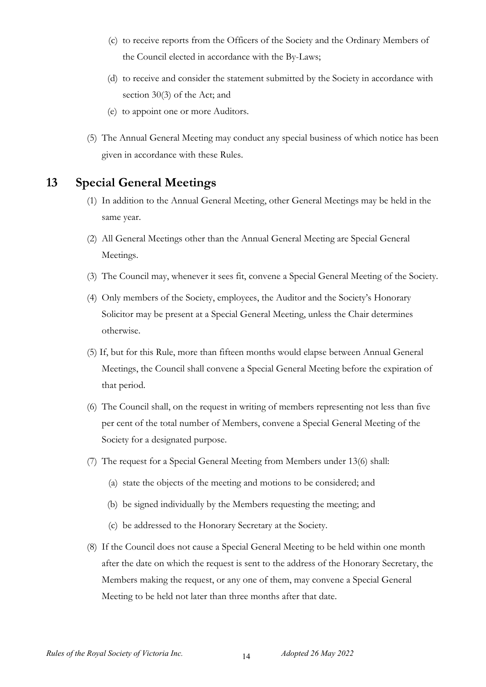- (c) to receive reports from the Officers of the Society and the Ordinary Members of the Council elected in accordance with the By-Laws;
- (d) to receive and consider the statement submitted by the Society in accordance with section 30(3) of the Act; and
- (e) to appoint one or more Auditors.
- (5) The Annual General Meeting may conduct any special business of which notice has been given in accordance with these Rules.

### <span id="page-12-0"></span>**13 Special General Meetings**

- (1) In addition to the Annual General Meeting, other General Meetings may be held in the same year.
- (2) All General Meetings other than the Annual General Meeting are Special General Meetings.
- (3) The Council may, whenever it sees fit, convene a Special General Meeting of the Society.
- (4) Only members of the Society, employees, the Auditor and the Society's Honorary Solicitor may be present at a Special General Meeting, unless the Chair determines otherwise.
- (5) If, but for this Rule, more than fifteen months would elapse between Annual General Meetings, the Council shall convene a Special General Meeting before the expiration of that period.
- (6) The Council shall, on the request in writing of members representing not less than five per cent of the total number of Members, convene a Special General Meeting of the Society for a designated purpose.
- (7) The request for a Special General Meeting from Members under 13(6) shall:
	- (a) state the objects of the meeting and motions to be considered; and
	- (b) be signed individually by the Members requesting the meeting; and
	- (c) be addressed to the Honorary Secretary at the Society.
- (8) If the Council does not cause a Special General Meeting to be held within one month after the date on which the request is sent to the address of the Honorary Secretary, the Members making the request, or any one of them, may convene a Special General Meeting to be held not later than three months after that date.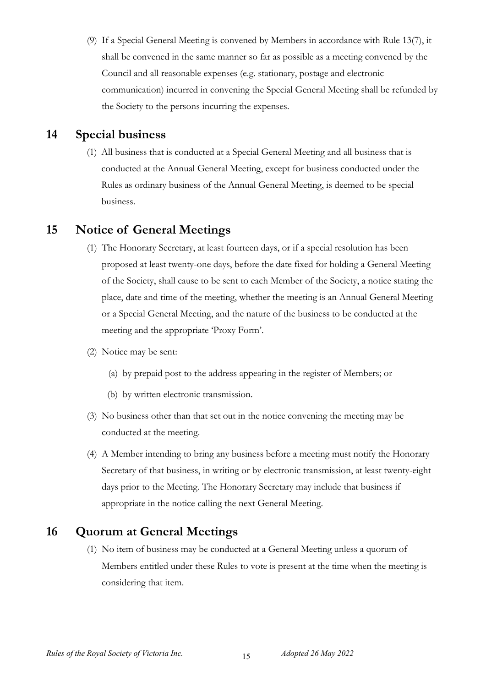(9) If a Special General Meeting is convened by Members in accordance with Rule 13(7), it shall be convened in the same manner so far as possible as a meeting convened by the Council and all reasonable expenses (e.g. stationary, postage and electronic communication) incurred in convening the Special General Meeting shall be refunded by the Society to the persons incurring the expenses.

### <span id="page-13-0"></span>**14 Special business**

(1) All business that is conducted at a Special General Meeting and all business that is conducted at the Annual General Meeting, except for business conducted under the Rules as ordinary business of the Annual General Meeting, is deemed to be special business.

### <span id="page-13-1"></span>**15 Notice of General Meetings**

- (1) The Honorary Secretary, at least fourteen days, or if a special resolution has been proposed at least twenty-one days, before the date fixed for holding a General Meeting of the Society, shall cause to be sent to each Member of the Society, a notice stating the place, date and time of the meeting, whether the meeting is an Annual General Meeting or a Special General Meeting, and the nature of the business to be conducted at the meeting and the appropriate 'Proxy Form'.
- (2) Notice may be sent:
	- (a) by prepaid post to the address appearing in the register of Members; or
	- (b) by written electronic transmission.
- (3) No business other than that set out in the notice convening the meeting may be conducted at the meeting.
- (4) A Member intending to bring any business before a meeting must notify the Honorary Secretary of that business, in writing or by electronic transmission, at least twenty-eight days prior to the Meeting. The Honorary Secretary may include that business if appropriate in the notice calling the next General Meeting.

### <span id="page-13-2"></span>**16 Quorum at General Meetings**

(1) No item of business may be conducted at a General Meeting unless a quorum of Members entitled under these Rules to vote is present at the time when the meeting is considering that item.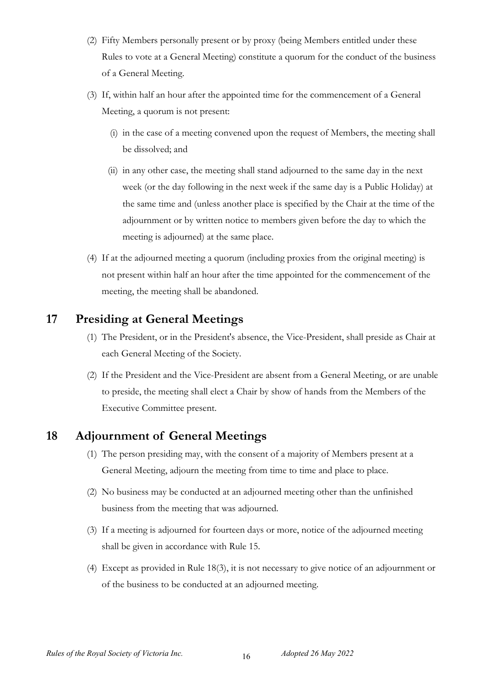- (2) Fifty Members personally present or by proxy (being Members entitled under these Rules to vote at a General Meeting) constitute a quorum for the conduct of the business of a General Meeting.
- (3) If, within half an hour after the appointed time for the commencement of a General Meeting, a quorum is not present:
	- (i) in the case of a meeting convened upon the request of Members, the meeting shall be dissolved; and
	- (ii) in any other case, the meeting shall stand adjourned to the same day in the next week (or the day following in the next week if the same day is a Public Holiday) at the same time and (unless another place is specified by the Chair at the time of the adjournment or by written notice to members given before the day to which the meeting is adjourned) at the same place.
- (4) If at the adjourned meeting a quorum (including proxies from the original meeting) is not present within half an hour after the time appointed for the commencement of the meeting, the meeting shall be abandoned.

### <span id="page-14-0"></span>**17 Presiding at General Meetings**

- (1) The President, or in the President's absence, the Vice-President, shall preside as Chair at each General Meeting of the Society.
- (2) If the President and the Vice-President are absent from a General Meeting, or are unable to preside, the meeting shall elect a Chair by show of hands from the Members of the Executive Committee present.

### <span id="page-14-1"></span>**18 Adjournment of General Meetings**

- (1) The person presiding may, with the consent of a majority of Members present at a General Meeting, adjourn the meeting from time to time and place to place.
- (2) No business may be conducted at an adjourned meeting other than the unfinished business from the meeting that was adjourned.
- (3) If a meeting is adjourned for fourteen days or more, notice of the adjourned meeting shall be given in accordance with Rule 15.
- (4) Except as provided in Rule 18(3), it is not necessary to give notice of an adjournment or of the business to be conducted at an adjourned meeting.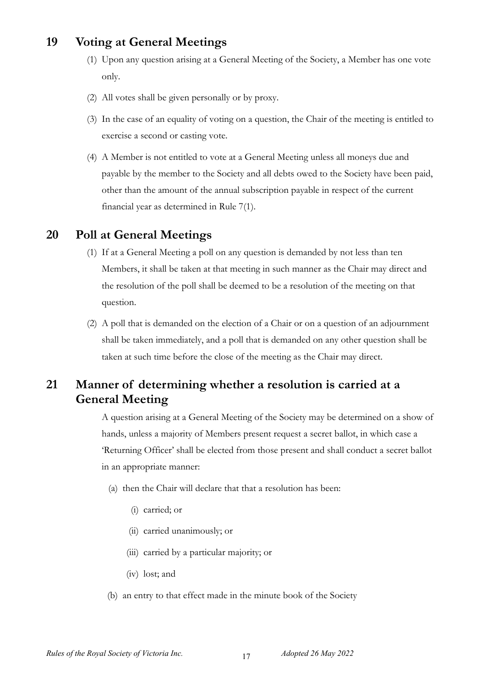### <span id="page-15-0"></span>**19 Voting at General Meetings**

- (1) Upon any question arising at a General Meeting of the Society, a Member has one vote only.
- (2) All votes shall be given personally or by proxy.
- (3) In the case of an equality of voting on a question, the Chair of the meeting is entitled to exercise a second or casting vote.
- (4) A Member is not entitled to vote at a General Meeting unless all moneys due and payable by the member to the Society and all debts owed to the Society have been paid, other than the amount of the annual subscription payable in respect of the current financial year as determined in Rule 7(1).

### <span id="page-15-1"></span>**20 Poll at General Meetings**

- (1) If at a General Meeting a poll on any question is demanded by not less than ten Members, it shall be taken at that meeting in such manner as the Chair may direct and the resolution of the poll shall be deemed to be a resolution of the meeting on that question.
- (2) A poll that is demanded on the election of a Chair or on a question of an adjournment shall be taken immediately, and a poll that is demanded on any other question shall be taken at such time before the close of the meeting as the Chair may direct.

### <span id="page-15-2"></span>**21 Manner of determining whether a resolution is carried at a General Meeting**

A question arising at a General Meeting of the Society may be determined on a show of hands, unless a majority of Members present request a secret ballot, in which case a 'Returning Officer' shall be elected from those present and shall conduct a secret ballot in an appropriate manner:

- (a) then the Chair will declare that that a resolution has been:
	- (i) carried; or
	- (ii) carried unanimously; or
	- (iii) carried by a particular majority; or
	- (iv) lost; and
- (b) an entry to that effect made in the minute book of the Society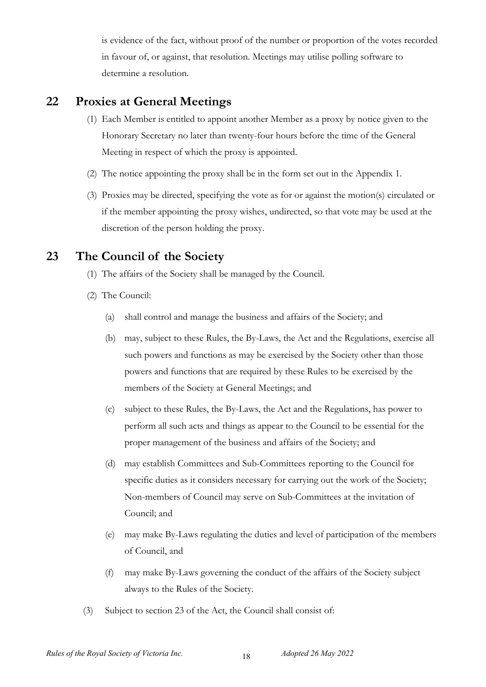is evidence of the fact, without proof of the number or proportion of the votes recorded in favour of, or against, that resolution. Meetings may utilise polling software to determine a resolution.

### <span id="page-16-0"></span>**22 Proxies at General Meetings**

- (1) Each Member is entitled to appoint another Member as a proxy by notice given to the Honorary Secretary no later than twenty-four hours before the time of the General Meeting in respect of which the proxy is appointed.
- (2) The notice appointing the proxy shall be in the form set out in the Appendix 1.
- (3) Proxies may be directed, specifying the vote as for or against the motion(s) circulated or if the member appointing the proxy wishes, undirected, so that vote may be used at the discretion of the person holding the proxy.

### <span id="page-16-1"></span>**23 The Council of the Society**

- (1) The affairs of the Society shall be managed by the Council.
- (2) The Council:
	- (a) shall control and manage the business and affairs of the Society; and
	- (b) may, subject to these Rules, the By-Laws, the Act and the Regulations, exercise all such powers and functions as may be exercised by the Society other than those powers and functions that are required by these Rules to be exercised by the members of the Society at General Meetings; and
	- (c) subject to these Rules, the By-Laws, the Act and the Regulations, has power to perform all such acts and things as appear to the Council to be essential for the proper management of the business and affairs of the Society; and
	- (d) may establish Committees and Sub-Committees reporting to the Council for specific duties as it considers necessary for carrying out the work of the Society; Non-members of Council may serve on Sub-Committees at the invitation of Council; and
	- (e) may make By-Laws regulating the duties and level of participation of the members of Council, and
	- (f) may make By-Laws governing the conduct of the affairs of the Society subject always to the Rules of the Society.
- (3) Subject to section 23 of the Act, the Council shall consist of: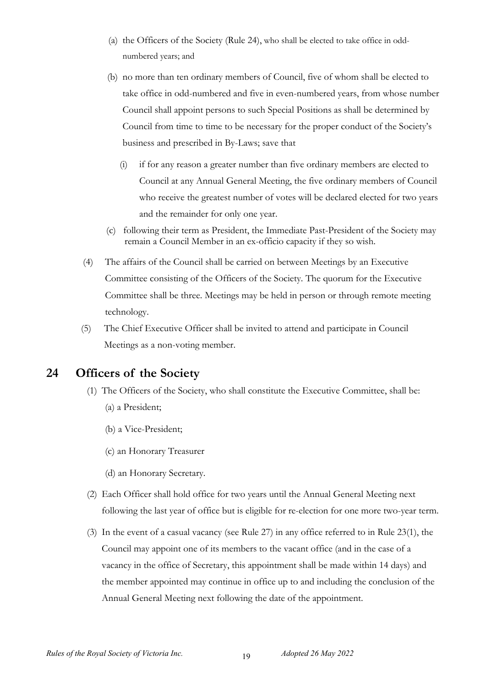- (a) the Officers of the Society (Rule 24), who shall be elected to take office in oddnumbered years; and
- (b) no more than ten ordinary members of Council, five of whom shall be elected to take office in odd-numbered and five in even-numbered years, from whose number Council shall appoint persons to such Special Positions as shall be determined by Council from time to time to be necessary for the proper conduct of the Society's business and prescribed in By-Laws; save that
	- (i) if for any reason a greater number than five ordinary members are elected to Council at any Annual General Meeting, the five ordinary members of Council who receive the greatest number of votes will be declared elected for two years and the remainder for only one year.
- (c) following their term as President, the Immediate Past-President of the Society may remain a Council Member in an ex-officio capacity if they so wish.
- (4) The affairs of the Council shall be carried on between Meetings by an Executive Committee consisting of the Officers of the Society. The quorum for the Executive Committee shall be three. Meetings may be held in person or through remote meeting technology.
- (5) The Chief Executive Officer shall be invited to attend and participate in Council Meetings as a non-voting member.

### <span id="page-17-0"></span>**24 Officers of the Society**

- (1) The Officers of the Society, who shall constitute the Executive Committee, shall be: (a) a President;
	- (b) a Vice-President;
	- (c) an Honorary Treasurer
	- (d) an Honorary Secretary.
- (2) Each Officer shall hold office for two years until the Annual General Meeting next following the last year of office but is eligible for re-election for one more two-year term.
- (3) In the event of a casual vacancy (see Rule 27) in any office referred to in Rule 23(1), the Council may appoint one of its members to the vacant office (and in the case of a vacancy in the office of Secretary, this appointment shall be made within 14 days) and the member appointed may continue in office up to and including the conclusion of the Annual General Meeting next following the date of the appointment.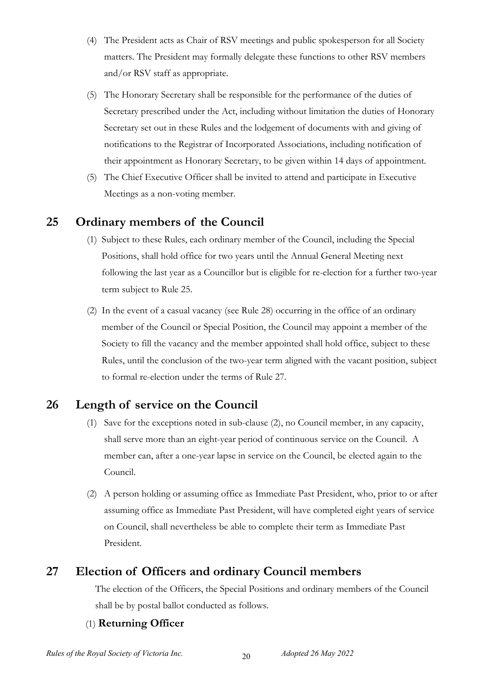- (4) The President acts as Chair of RSV meetings and public spokesperson for all Society matters. The President may formally delegate these functions to other RSV members and/or RSV staff as appropriate.
- (5) The Honorary Secretary shall be responsible for the performance of the duties of Secretary prescribed under the Act, including without limitation the duties of Honorary Secretary set out in these Rules and the lodgement of documents with and giving of notifications to the Registrar of Incorporated Associations, including notification of their appointment as Honorary Secretary, to be given within 14 days of appointment.
- (5) The Chief Executive Officer shall be invited to attend and participate in Executive Meetings as a non-voting member.

### <span id="page-18-0"></span>**25 Ordinary members of the Council**

- (1) Subject to these Rules, each ordinary member of the Council, including the Special Positions, shall hold office for two years until the Annual General Meeting next following the last year as a Councillor but is eligible for re-election for a further two-year term subject to Rule 25.
- (2) In the event of a casual vacancy (see Rule 28) occurring in the office of an ordinary member of the Council or Special Position, the Council may appoint a member of the Society to fill the vacancy and the member appointed shall hold office, subject to these Rules, until the conclusion of the two-year term aligned with the vacant position, subject to formal re-election under the terms of Rule 27.

### <span id="page-18-1"></span>**26 Length of service on the Council**

- (1) Save for the exceptions noted in sub-clause (2), no Council member, in any capacity, shall serve more than an eight-year period of continuous service on the Council. A member can, after a one-year lapse in service on the Council, be elected again to the Council.
- (2) A person holding or assuming office as Immediate Past President, who, prior to or after assuming office as Immediate Past President, will have completed eight years of service on Council, shall nevertheless be able to complete their term as Immediate Past President.

### <span id="page-18-2"></span>**27 Election of Officers and ordinary Council members**

The election of the Officers, the Special Positions and ordinary members of the Council shall be by postal ballot conducted as follows.

#### (1) **Returning Officer**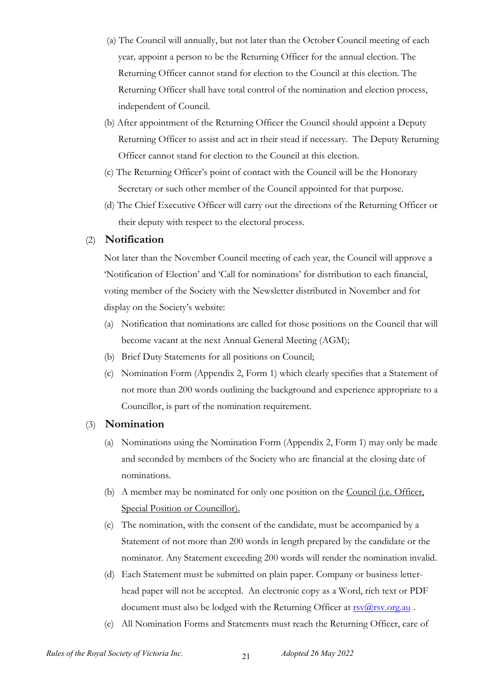- (a) The Council will annually, but not later than the October Council meeting of each year*,* appoint a person to be the Returning Officer for the annual election. The Returning Officer cannot stand for election to the Council at this election. The Returning Officer shall have total control of the nomination and election process, independent of Council.
- (b) After appointment of the Returning Officer the Council should appoint a Deputy Returning Officer to assist and act in their stead if necessary. The Deputy Returning Officer cannot stand for election to the Council at this election.
- (c) The Returning Officer's point of contact with the Council will be the Honorary Secretary or such other member of the Council appointed for that purpose.
- (d) The Chief Executive Officer will carry out the directions of the Returning Officer or their deputy with respect to the electoral process.

#### (2) **Notification**

Not later than the November Council meeting of each year, the Council will approve a 'Notification of Election' and 'Call for nominations' for distribution to each financial, voting member of the Society with the Newsletter distributed in November and for display on the Society's website:

- (a) Notification that nominations are called for those positions on the Council that will become vacant at the next Annual General Meeting (AGM);
- (b) Brief Duty Statements for all positions on Council;
- (c) Nomination Form (Appendix 2, Form 1) which clearly specifies that a Statement of not more than 200 words outlining the background and experience appropriate to a Councillor, is part of the nomination requirement.

#### (3) **Nomination**

- (a) Nominations using the Nomination Form (Appendix 2, Form 1) may only be made and seconded by members of the Society who are financial at the closing date of nominations.
- (b) A member may be nominated for only one position on the Council (i.e. Officer, Special Position or Councillor).
- (c) The nomination, with the consent of the candidate, must be accompanied by a Statement of not more than 200 words in length prepared by the candidate or the nominator. Any Statement exceeding 200 words will render the nomination invalid.
- (d) Each Statement must be submitted on plain paper. Company or business letterhead paper will not be accepted. An electronic copy as a Word, rich text or PDF document must also be lodged with the Returning Officer at  $rsv(\omega_{\text{ISV}})$ .org.au.
- (e) All Nomination Forms and Statements must reach the Returning Officer, care of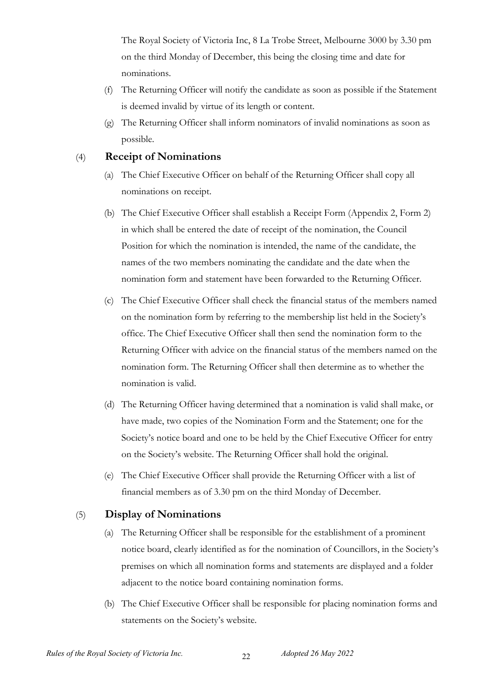The Royal Society of Victoria Inc, 8 La Trobe Street, Melbourne 3000 by 3.30 pm on the third Monday of December, this being the closing time and date for nominations.

- (f) The Returning Officer will notify the candidate as soon as possible if the Statement is deemed invalid by virtue of its length or content.
- (g) The Returning Officer shall inform nominators of invalid nominations as soon as possible.

#### (4) **Receipt of Nominations**

- (a) The Chief Executive Officer on behalf of the Returning Officer shall copy all nominations on receipt.
- (b) The Chief Executive Officer shall establish a Receipt Form (Appendix 2, Form 2) in which shall be entered the date of receipt of the nomination, the Council Position for which the nomination is intended, the name of the candidate, the names of the two members nominating the candidate and the date when the nomination form and statement have been forwarded to the Returning Officer.
- (c) The Chief Executive Officer shall check the financial status of the members named on the nomination form by referring to the membership list held in the Society's office. The Chief Executive Officer shall then send the nomination form to the Returning Officer with advice on the financial status of the members named on the nomination form. The Returning Officer shall then determine as to whether the nomination is valid.
- (d) The Returning Officer having determined that a nomination is valid shall make, or have made, two copies of the Nomination Form and the Statement; one for the Society's notice board and one to be held by the Chief Executive Officer for entry on the Society's website. The Returning Officer shall hold the original.
- (e) The Chief Executive Officer shall provide the Returning Officer with a list of financial members as of 3.30 pm on the third Monday of December.

#### (5) **Display of Nominations**

- (a) The Returning Officer shall be responsible for the establishment of a prominent notice board, clearly identified as for the nomination of Councillors, in the Society's premises on which all nomination forms and statements are displayed and a folder adjacent to the notice board containing nomination forms.
- (b) The Chief Executive Officer shall be responsible for placing nomination forms and statements on the Society's website.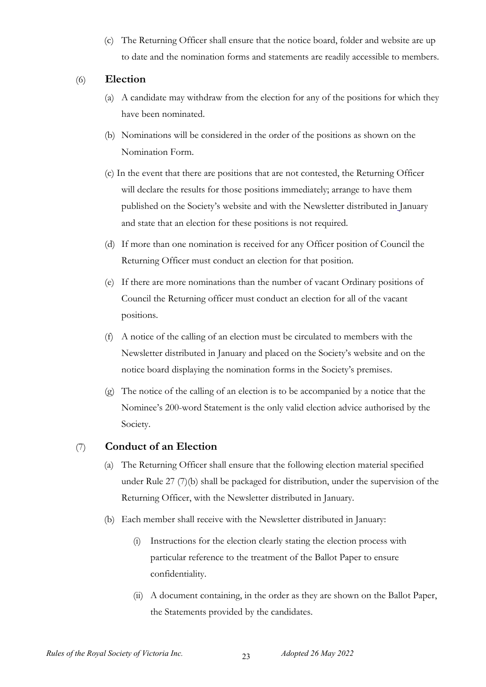(c) The Returning Officer shall ensure that the notice board, folder and website are up to date and the nomination forms and statements are readily accessible to members.

#### (6) **Election**

- (a) A candidate may withdraw from the election for any of the positions for which they have been nominated.
- (b) Nominations will be considered in the order of the positions as shown on the Nomination Form.
- (c) In the event that there are positions that are not contested, the Returning Officer will declare the results for those positions immediately; arrange to have them published on the Society's website and with the Newsletter distributed in January and state that an election for these positions is not required.
- (d) If more than one nomination is received for any Officer position of Council the Returning Officer must conduct an election for that position.
- (e) If there are more nominations than the number of vacant Ordinary positions of Council the Returning officer must conduct an election for all of the vacant positions.
- (f) A notice of the calling of an election must be circulated to members with the Newsletter distributed in January and placed on the Society's website and on the notice board displaying the nomination forms in the Society's premises.
- (g) The notice of the calling of an election is to be accompanied by a notice that the Nominee's 200-word Statement is the only valid election advice authorised by the Society.

#### (7) **Conduct of an Election**

- (a) The Returning Officer shall ensure that the following election material specified under Rule 27 (7)(b) shall be packaged for distribution, under the supervision of the Returning Officer, with the Newsletter distributed in January.
- (b) Each member shall receive with the Newsletter distributed in January:
	- (i) Instructions for the election clearly stating the election process with particular reference to the treatment of the Ballot Paper to ensure confidentiality.
	- (ii) A document containing, in the order as they are shown on the Ballot Paper, the Statements provided by the candidates.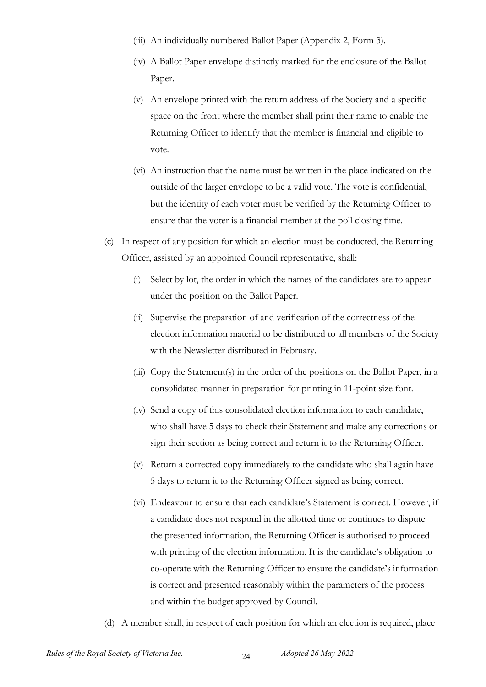- (iii) An individually numbered Ballot Paper (Appendix 2, Form 3).
- (iv) A Ballot Paper envelope distinctly marked for the enclosure of the Ballot Paper.
- (v) An envelope printed with the return address of the Society and a specific space on the front where the member shall print their name to enable the Returning Officer to identify that the member is financial and eligible to vote.
- (vi) An instruction that the name must be written in the place indicated on the outside of the larger envelope to be a valid vote. The vote is confidential, but the identity of each voter must be verified by the Returning Officer to ensure that the voter is a financial member at the poll closing time.
- (c) In respect of any position for which an election must be conducted, the Returning Officer, assisted by an appointed Council representative, shall:
	- (i) Select by lot, the order in which the names of the candidates are to appear under the position on the Ballot Paper.
	- (ii) Supervise the preparation of and verification of the correctness of the election information material to be distributed to all members of the Society with the Newsletter distributed in February.
	- (iii) Copy the Statement(s) in the order of the positions on the Ballot Paper, in a consolidated manner in preparation for printing in 11-point size font.
	- (iv) Send a copy of this consolidated election information to each candidate, who shall have 5 days to check their Statement and make any corrections or sign their section as being correct and return it to the Returning Officer.
	- (v) Return a corrected copy immediately to the candidate who shall again have 5 days to return it to the Returning Officer signed as being correct.
	- (vi) Endeavour to ensure that each candidate's Statement is correct. However, if a candidate does not respond in the allotted time or continues to dispute the presented information, the Returning Officer is authorised to proceed with printing of the election information. It is the candidate's obligation to co-operate with the Returning Officer to ensure the candidate's information is correct and presented reasonably within the parameters of the process and within the budget approved by Council.
- (d) A member shall, in respect of each position for which an election is required, place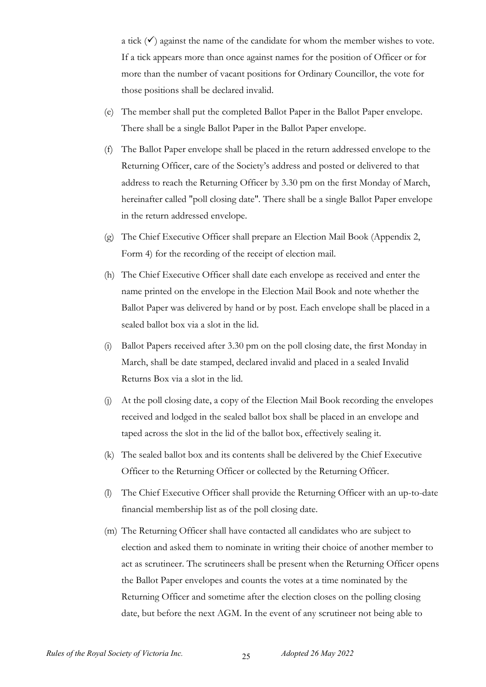a tick  $(\checkmark)$  against the name of the candidate for whom the member wishes to vote. If a tick appears more than once against names for the position of Officer or for more than the number of vacant positions for Ordinary Councillor, the vote for those positions shall be declared invalid.

- (e) The member shall put the completed Ballot Paper in the Ballot Paper envelope. There shall be a single Ballot Paper in the Ballot Paper envelope.
- (f) The Ballot Paper envelope shall be placed in the return addressed envelope to the Returning Officer, care of the Society's address and posted or delivered to that address to reach the Returning Officer by 3.30 pm on the first Monday of March, hereinafter called "poll closing date"*.* There shall be a single Ballot Paper envelope in the return addressed envelope.
- (g) The Chief Executive Officer shall prepare an Election Mail Book (Appendix 2, Form 4) for the recording of the receipt of election mail.
- (h) The Chief Executive Officer shall date each envelope as received and enter the name printed on the envelope in the Election Mail Book and note whether the Ballot Paper was delivered by hand or by post. Each envelope shall be placed in a sealed ballot box via a slot in the lid.
- (i) Ballot Papers received after 3.30 pm on the poll closing date, the first Monday in March, shall be date stamped, declared invalid and placed in a sealed Invalid Returns Box via a slot in the lid.
- (j) At the poll closing date, a copy of the Election Mail Book recording the envelopes received and lodged in the sealed ballot box shall be placed in an envelope and taped across the slot in the lid of the ballot box, effectively sealing it.
- (k) The sealed ballot box and its contents shall be delivered by the Chief Executive Officer to the Returning Officer or collected by the Returning Officer.
- (l) The Chief Executive Officer shall provide the Returning Officer with an up-to-date financial membership list as of the poll closing date.
- (m) The Returning Officer shall have contacted all candidates who are subject to election and asked them to nominate in writing their choice of another member to act as scrutineer. The scrutineers shall be present when the Returning Officer opens the Ballot Paper envelopes and counts the votes at a time nominated by the Returning Officer and sometime after the election closes on the polling closing date, but before the next AGM. In the event of any scrutineer not being able to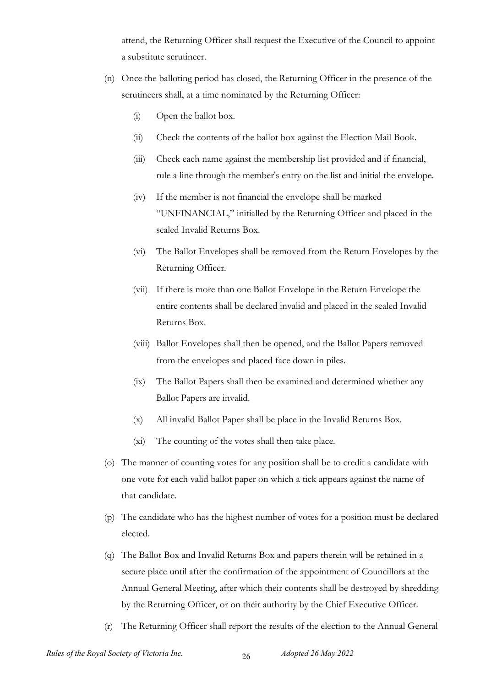attend, the Returning Officer shall request the Executive of the Council to appoint a substitute scrutineer.

- (n) Once the balloting period has closed, the Returning Officer in the presence of the scrutineers shall, at a time nominated by the Returning Officer:
	- (i) Open the ballot box.
	- (ii) Check the contents of the ballot box against the Election Mail Book.
	- (iii) Check each name against the membership list provided and if financial, rule a line through the member's entry on the list and initial the envelope.
	- (iv) If the member is not financial the envelope shall be marked "UNFINANCIAL," initialled by the Returning Officer and placed in the sealed Invalid Returns Box.
	- (vi) The Ballot Envelopes shall be removed from the Return Envelopes by the Returning Officer.
	- (vii) If there is more than one Ballot Envelope in the Return Envelope the entire contents shall be declared invalid and placed in the sealed Invalid Returns Box.
	- (viii) Ballot Envelopes shall then be opened, and the Ballot Papers removed from the envelopes and placed face down in piles.
	- (ix) The Ballot Papers shall then be examined and determined whether any Ballot Papers are invalid.
	- (x) All invalid Ballot Paper shall be place in the Invalid Returns Box.
	- (xi) The counting of the votes shall then take place*.*
- (o) The manner of counting votes for any position shall be to credit a candidate with one vote for each valid ballot paper on which a tick appears against the name of that candidate.
- (p) The candidate who has the highest number of votes for a position must be declared elected.
- (q) The Ballot Box and Invalid Returns Box and papers therein will be retained in a secure place until after the confirmation of the appointment of Councillors at the Annual General Meeting, after which their contents shall be destroyed by shredding by the Returning Officer, or on their authority by the Chief Executive Officer.
- (r) The Returning Officer shall report the results of the election to the Annual General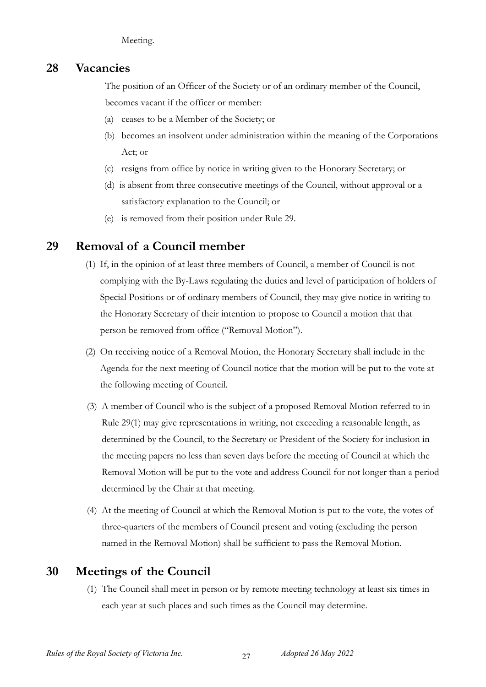Meeting.

### <span id="page-25-0"></span>**28 Vacancies**

The position of an Officer of the Society or of an ordinary member of the Council, becomes vacant if the officer or member:

- (a) ceases to be a Member of the Society; or
- (b) becomes an insolvent under administration within the meaning of the Corporations Act; or
- (c) resigns from office by notice in writing given to the Honorary Secretary; or
- (d) is absent from three consecutive meetings of the Council, without approval or a satisfactory explanation to the Council; or
- (e) is removed from their position under Rule 29.

### <span id="page-25-1"></span>**29 Removal of a Council member**

- (1) If, in the opinion of at least three members of Council, a member of Council is not complying with the By-Laws regulating the duties and level of participation of holders of Special Positions or of ordinary members of Council, they may give notice in writing to the Honorary Secretary of their intention to propose to Council a motion that that person be removed from office ("Removal Motion").
- (2) On receiving notice of a Removal Motion, the Honorary Secretary shall include in the Agenda for the next meeting of Council notice that the motion will be put to the vote at the following meeting of Council.
- (3) A member of Council who is the subject of a proposed Removal Motion referred to in Rule 29(1) may give representations in writing, not exceeding a reasonable length, as determined by the Council, to the Secretary or President of the Society for inclusion in the meeting papers no less than seven days before the meeting of Council at which the Removal Motion will be put to the vote and address Council for not longer than a period determined by the Chair at that meeting.
- (4) At the meeting of Council at which the Removal Motion is put to the vote, the votes of three-quarters of the members of Council present and voting (excluding the person named in the Removal Motion) shall be sufficient to pass the Removal Motion.

### <span id="page-25-2"></span>**30 Meetings of the Council**

(1) The Council shall meet in person or by remote meeting technology at least six times in each year at such places and such times as the Council may determine.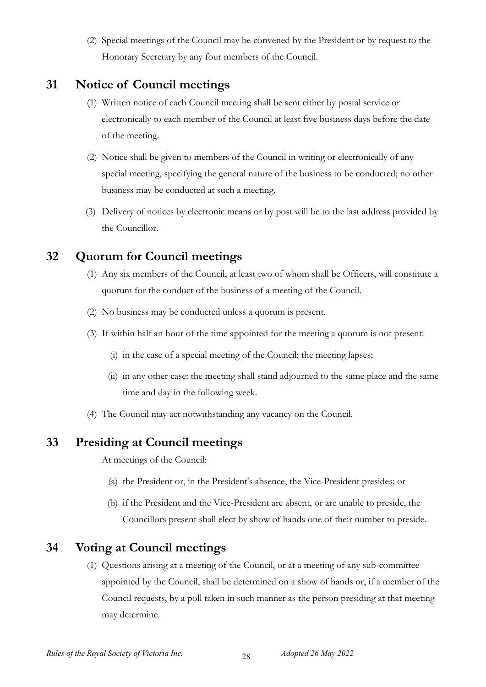(2) Special meetings of the Council may be convened by the President or by request to the Honorary Secretary by any four members of the Council.

### <span id="page-26-0"></span>**31 Notice of Council meetings**

- (1) Written notice of each Council meeting shall be sent either by postal service or electronically to each member of the Council at least five business days before the date of the meeting.
- (2) Notice shall be given to members of the Council in writing or electronically of any special meeting, specifying the general nature of the business to be conducted; no other business may be conducted at such a meeting.
- (3) Delivery of notices by electronic means or by post will be to the last address provided by the Councillor.

### <span id="page-26-1"></span>**32 Quorum for Council meetings**

- (1) Any six members of the Council, at least two of whom shall be Officers, will constitute a quorum for the conduct of the business of a meeting of the Council.
- (2) No business may be conducted unless a quorum is present.
- (3) If within half an hour of the time appointed for the meeting a quorum is not present:
	- (i) in the case of a special meeting of the Council: the meeting lapses;
	- (ii) in any other case: the meeting shall stand adjourned to the same place and the same time and day in the following week.
- (4) The Council may act notwithstanding any vacancy on the Council.

### <span id="page-26-2"></span>**33 Presiding at Council meetings**

At meetings of the Council:

- (a) the President or, in the President's absence, the Vice-President presides; or
- (b) if the President and the Vice-President are absent, or are unable to preside, the Councillors present shall elect by show of hands one of their number to preside.

### <span id="page-26-3"></span>**34 Voting at Council meetings**

(1) Questions arising at a meeting of the Council, or at a meeting of any sub-committee appointed by the Council, shall be determined on a show of hands or, if a member of the Council requests, by a poll taken in such manner as the person presiding at that meeting may determine.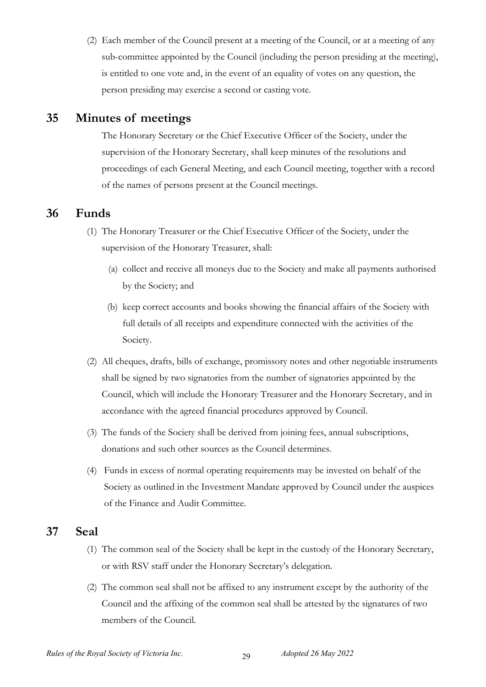(2) Each member of the Council present at a meeting of the Council, or at a meeting of any sub-committee appointed by the Council (including the person presiding at the meeting), is entitled to one vote and, in the event of an equality of votes on any question, the person presiding may exercise a second or casting vote.

### <span id="page-27-0"></span>**35 Minutes of meetings**

The Honorary Secretary or the Chief Executive Officer of the Society, under the supervision of the Honorary Secretary, shall keep minutes of the resolutions and proceedings of each General Meeting, and each Council meeting, together with a record of the names of persons present at the Council meetings.

### <span id="page-27-1"></span>**36 Funds**

- (1) The Honorary Treasurer or the Chief Executive Officer of the Society, under the supervision of the Honorary Treasurer, shall:
	- (a) collect and receive all moneys due to the Society and make all payments authorised by the Society; and
	- (b) keep correct accounts and books showing the financial affairs of the Society with full details of all receipts and expenditure connected with the activities of the Society.
- (2) All cheques, drafts, bills of exchange, promissory notes and other negotiable instruments shall be signed by two signatories from the number of signatories appointed by the Council, which will include the Honorary Treasurer and the Honorary Secretary, and in accordance with the agreed financial procedures approved by Council.
- (3) The funds of the Society shall be derived from joining fees, annual subscriptions, donations and such other sources as the Council determines.
- (4) Funds in excess of normal operating requirements may be invested on behalf of the Society as outlined in the Investment Mandate approved by Council under the auspices of the Finance and Audit Committee.

### <span id="page-27-2"></span>**37 Seal**

- (1) The common seal of the Society shall be kept in the custody of the Honorary Secretary, or with RSV staff under the Honorary Secretary's delegation.
- (2) The common seal shall not be affixed to any instrument except by the authority of the Council and the affixing of the common seal shall be attested by the signatures of two members of the Council.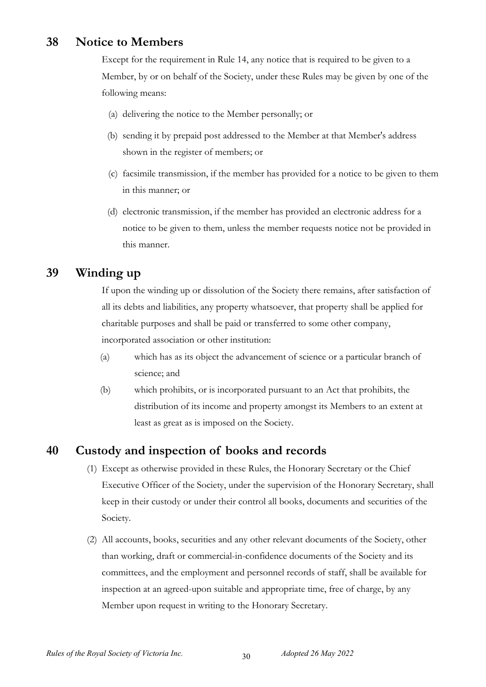### <span id="page-28-0"></span>**38 Notice to Members**

Except for the requirement in Rule 14, any notice that is required to be given to a Member, by or on behalf of the Society, under these Rules may be given by one of the following means:

- (a) delivering the notice to the Member personally; or
- (b) sending it by prepaid post addressed to the Member at that Member's address shown in the register of members; or
- (c) facsimile transmission, if the member has provided for a notice to be given to them in this manner; or
- (d) electronic transmission, if the member has provided an electronic address for a notice to be given to them, unless the member requests notice not be provided in this manner.

### <span id="page-28-1"></span>**39 Winding up**

If upon the winding up or dissolution of the Society there remains, after satisfaction of all its debts and liabilities, any property whatsoever, that property shall be applied for charitable purposes and shall be paid or transferred to some other company, incorporated association or other institution:

- (a) which has as its object the advancement of science or a particular branch of science; and
- (b) which prohibits, or is incorporated pursuant to an Act that prohibits, the distribution of its income and property amongst its Members to an extent at least as great as is imposed on the Society.

### <span id="page-28-2"></span>**40 Custody and inspection of books and records**

- (1) Except as otherwise provided in these Rules, the Honorary Secretary or the Chief Executive Officer of the Society, under the supervision of the Honorary Secretary, shall keep in their custody or under their control all books, documents and securities of the Society.
- (2) All accounts, books, securities and any other relevant documents of the Society, other than working, draft or commercial-in-confidence documents of the Society and its committees, and the employment and personnel records of staff, shall be available for inspection at an agreed-upon suitable and appropriate time, free of charge, by any Member upon request in writing to the Honorary Secretary.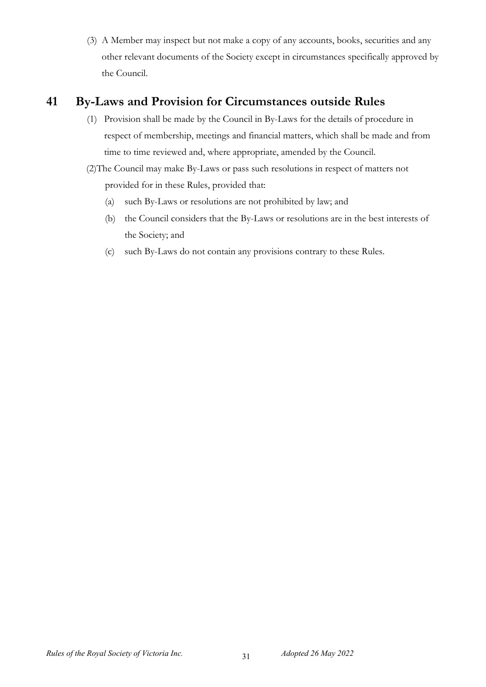(3) A Member may inspect but not make a copy of any accounts, books, securities and any other relevant documents of the Society except in circumstances specifically approved by the Council.

### <span id="page-29-0"></span>**41 By-Laws and Provision for Circumstances outside Rules**

- (1) Provision shall be made by the Council in By-Laws for the details of procedure in respect of membership, meetings and financial matters, which shall be made and from time to time reviewed and, where appropriate, amended by the Council.
- (2)The Council may make By-Laws or pass such resolutions in respect of matters not provided for in these Rules, provided that:
	- (a) such By-Laws or resolutions are not prohibited by law; and
	- (b) the Council considers that the By-Laws or resolutions are in the best interests of the Society; and
	- (c) such By-Laws do not contain any provisions contrary to these Rules.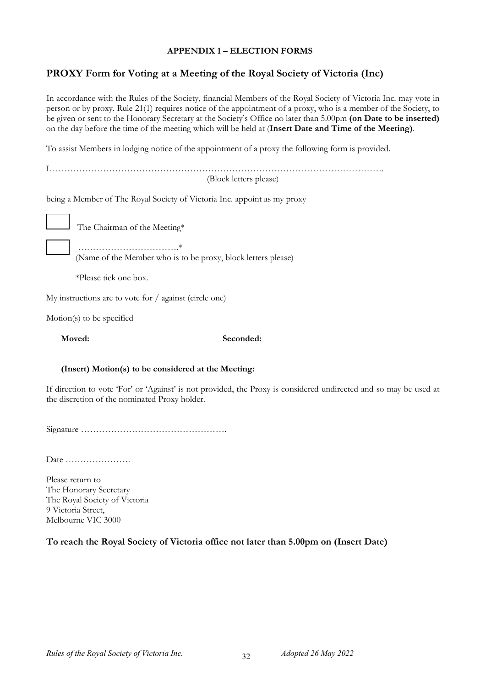#### **APPENDIX 1 – ELECTION FORMS**

#### <span id="page-30-1"></span><span id="page-30-0"></span>**PROXY Form for Voting at a Meeting of the Royal Society of Victoria (Inc)**

In accordance with the Rules of the Society, financial Members of the Royal Society of Victoria Inc. may vote in person or by proxy. Rule 21(1) requires notice of the appointment of a proxy, who is a member of the Society, to be given or sent to the Honorary Secretary at the Society's Office no later than 5.00pm **(on Date to be inserted)** on the day before the time of the meeting which will be held at (**Insert Date and Time of the Meeting)**.

To assist Members in lodging notice of the appointment of a proxy the following form is provided.

I…………………………………………………………………………………………………. (Block letters please)

being a Member of The Royal Society of Victoria Inc. appoint as my proxy

The Chairman of the Meeting\*

…………………………….\* (Name of the Member who is to be proxy, block letters please)

\*Please tick one box.

My instructions are to vote for / against (circle one)

Motion(s) to be specified

**Moved: Seconded:**

#### **(Insert) Motion(s) to be considered at the Meeting:**

If direction to vote 'For' or 'Against' is not provided, the Proxy is considered undirected and so may be used at the discretion of the nominated Proxy holder.

Signature ………………………………………….

Date ………………….

Please return to The Honorary Secretary The Royal Society of Victoria 9 Victoria Street, Melbourne VIC 3000

#### **To reach the Royal Society of Victoria office not later than 5.00pm on (Insert Date)**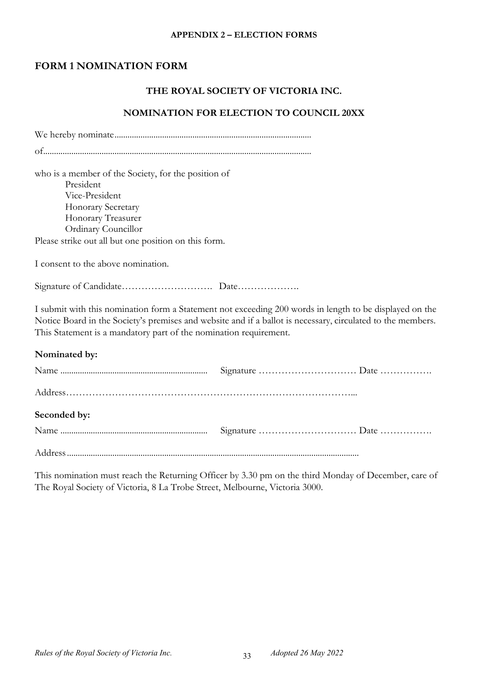#### **APPENDIX 2 – ELECTION FORMS**

#### <span id="page-31-0"></span>**FORM 1 NOMINATION FORM**

#### **THE ROYAL SOCIETY OF VICTORIA INC.**

#### **NOMINATION FOR ELECTION TO COUNCIL 20XX**

We hereby nominate...........................................................................................

of............................................................................................................................

who is a member of the Society, for the position of President Vice-President Honorary Secretary Honorary Treasurer Ordinary Councillor Please strike out all but one position on this form.

I consent to the above nomination.

Signature of Candidate………………………. Date……………….

I submit with this nomination form a Statement not exceeding 200 words in length to be displayed on the Notice Board in the Society's premises and website and if a ballot is necessary, circulated to the members. This Statement is a mandatory part of the nomination requirement.

#### **Nominated by:**

| Seconded by: |  |
|--------------|--|
|              |  |
|              |  |

This nomination must reach the Returning Officer by 3.30 pm on the third Monday of December, care of The Royal Society of Victoria, 8 La Trobe Street, Melbourne, Victoria 3000.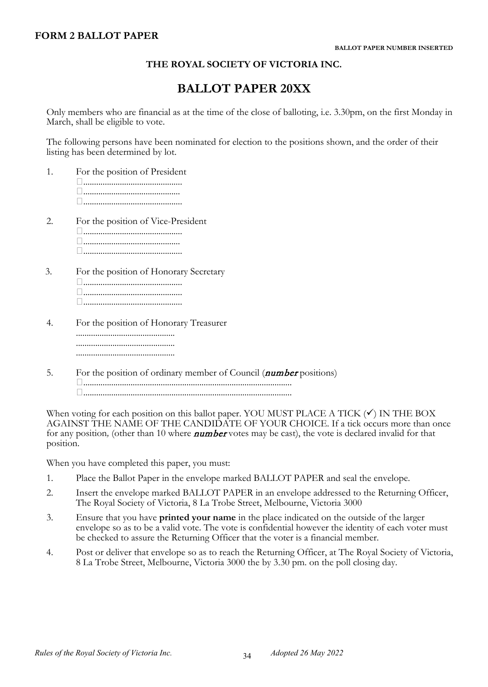#### **THE ROYAL SOCIETY OF VICTORIA INC.**

### **BALLOT PAPER 20XX**

<span id="page-32-0"></span>Only members who are financial as at the time of the close of balloting, i.e. 3.30pm, on the first Monday in March, shall be eligible to vote.

The following persons have been nominated for election to the positions shown, and the order of their listing has been determined by lot.

- 1. For the position of President .............................................. ............................................. ..............................................
- 2. For the position of Vice-President

- 3. For the position of Honorary Secretary .............................................. .............................................. ..............................................
- 4. For the position of Honorary Treasurer .............................................. .............................................. ..............................................
- 5. For the position of ordinary member of Council  $(number$  positions) ................................................................................................. .................................................................................................

When voting for each position on this ballot paper. YOU MUST PLACE A TICK  $(\checkmark)$  IN THE BOX AGAINST THE NAME OF THE CANDIDATE OF YOUR CHOICE. If a tick occurs more than once for any position*,* (other than 10 where number votes may be cast), the vote is declared invalid for that position.

When you have completed this paper, you must:

- 1. Place the Ballot Paper in the envelope marked BALLOT PAPER and seal the envelope.
- 2. Insert the envelope marked BALLOT PAPER in an envelope addressed to the Returning Officer, The Royal Society of Victoria, 8 La Trobe Street, Melbourne, Victoria 3000
- 3. Ensure that you have **printed your name** in the place indicated on the outside of the larger envelope so as to be a valid vote. The vote is confidential however the identity of each voter must be checked to assure the Returning Officer that the voter is a financial member.
- 4. Post or deliver that envelope so as to reach the Returning Officer, at The Royal Society of Victoria, 8 La Trobe Street, Melbourne, Victoria 3000 the by 3.30 pm. on the poll closing day.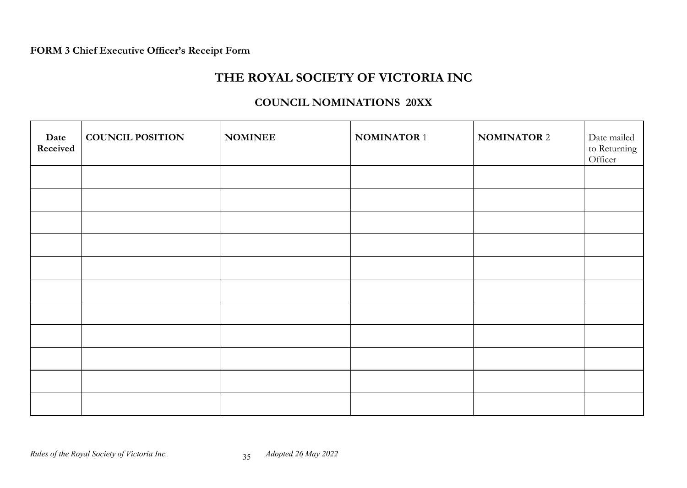#### **FORM 3 Chief Executive Officer's Receipt Form**

### **THE ROYAL SOCIETY OF VICTORIA INC**

#### **COUNCIL NOMINATIONS 20XX**

<span id="page-33-0"></span>

| Date<br>Received | <b>COUNCIL POSITION</b> | <b>NOMINEE</b> | <b>NOMINATOR 1</b> | <b>NOMINATOR 2</b> | Date mailed<br>to Returning<br>Officer |
|------------------|-------------------------|----------------|--------------------|--------------------|----------------------------------------|
|                  |                         |                |                    |                    |                                        |
|                  |                         |                |                    |                    |                                        |
|                  |                         |                |                    |                    |                                        |
|                  |                         |                |                    |                    |                                        |
|                  |                         |                |                    |                    |                                        |
|                  |                         |                |                    |                    |                                        |
|                  |                         |                |                    |                    |                                        |
|                  |                         |                |                    |                    |                                        |
|                  |                         |                |                    |                    |                                        |
|                  |                         |                |                    |                    |                                        |
|                  |                         |                |                    |                    |                                        |

*Rules of the Royal Society of Victoria Inc.*  $35$  *Adopted 26 May 2022*